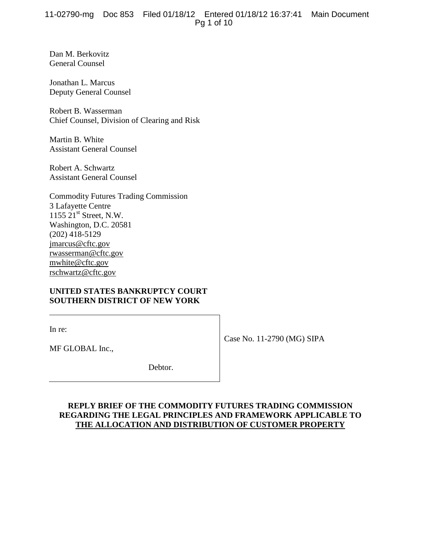# 11-02790-mg Doc 853 Filed 01/18/12 Entered 01/18/12 16:37:41 Main Document Pg 1 of 10

Dan M. Berkovitz General Counsel

Jonathan L. Marcus Deputy General Counsel

Robert B. Wasserman Chief Counsel, Division of Clearing and Risk

Martin B. White Assistant General Counsel

Robert A. Schwartz Assistant General Counsel

| <b>Commodity Futures Trading Commission</b> |
|---------------------------------------------|
| 3 Lafayette Centre                          |
| 1155 $21st$ Street, N.W.                    |
| Washington, D.C. 20581                      |
| $(202)$ 418-5129                            |
| jmarcus@cftc.gov                            |
| rwasserman@cftc.gov                         |
| mwhite@cftc.gov                             |
| rschwartz@cftc.gov                          |

# **UNITED STATES BANKRUPTCY COURT SOUTHERN DISTRICT OF NEW YORK**

In re:

Case No. 11-2790 (MG) SIPA

MF GLOBAL Inc.,

Debtor.

# **REPLY BRIEF OF THE COMMODITY FUTURES TRADING COMMISSION REGARDING THE LEGAL PRINCIPLES AND FRAMEWORK APPLICABLE TO THE ALLOCATION AND DISTRIBUTION OF CUSTOMER PROPERTY**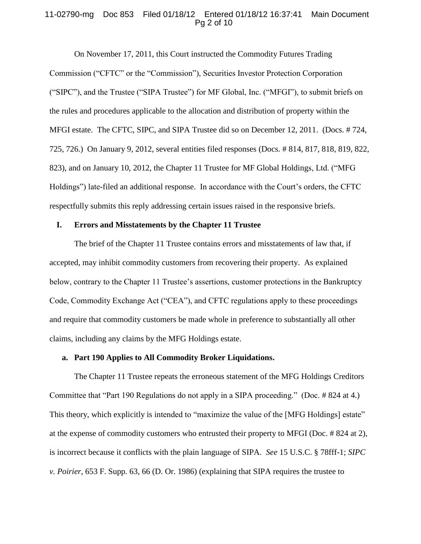### 11-02790-mg Doc 853 Filed 01/18/12 Entered 01/18/12 16:37:41 Main Document Pg 2 of 10

On November 17, 2011, this Court instructed the Commodity Futures Trading Commission ("CFTC" or the "Commission"), Securities Investor Protection Corporation ("SIPC"), and the Trustee ("SIPA Trustee") for MF Global, Inc. ("MFGI"), to submit briefs on the rules and procedures applicable to the allocation and distribution of property within the MFGI estate. The CFTC, SIPC, and SIPA Trustee did so on December 12, 2011. (Docs. # 724, 725, 726.) On January 9, 2012, several entities filed responses (Docs. # 814, 817, 818, 819, 822, 823), and on January 10, 2012, the Chapter 11 Trustee for MF Global Holdings, Ltd. ("MFG Holdings") late-filed an additional response. In accordance with the Court's orders, the CFTC respectfully submits this reply addressing certain issues raised in the responsive briefs.

### **I. Errors and Misstatements by the Chapter 11 Trustee**

The brief of the Chapter 11 Trustee contains errors and misstatements of law that, if accepted, may inhibit commodity customers from recovering their property. As explained below, contrary to the Chapter 11 Trustee's assertions, customer protections in the Bankruptcy Code, Commodity Exchange Act ("CEA"), and CFTC regulations apply to these proceedings and require that commodity customers be made whole in preference to substantially all other claims, including any claims by the MFG Holdings estate.

### **a. Part 190 Applies to All Commodity Broker Liquidations.**

The Chapter 11 Trustee repeats the erroneous statement of the MFG Holdings Creditors Committee that "Part 190 Regulations do not apply in a SIPA proceeding." (Doc. # 824 at 4.) This theory, which explicitly is intended to "maximize the value of the [MFG Holdings] estate" at the expense of commodity customers who entrusted their property to MFGI (Doc. # 824 at 2), is incorrect because it conflicts with the plain language of SIPA. *See* 15 U.S.C. § 78fff-1; *SIPC v. Poirier*, 653 F. Supp. 63, 66 (D. Or. 1986) (explaining that SIPA requires the trustee to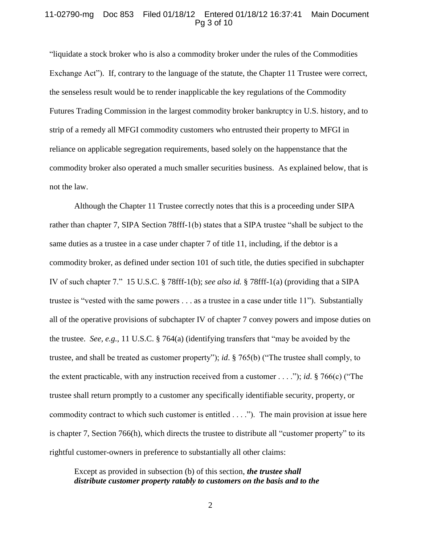#### 11-02790-mg Doc 853 Filed 01/18/12 Entered 01/18/12 16:37:41 Main Document Pg 3 of 10

"liquidate a stock broker who is also a commodity broker under the rules of the Commodities Exchange Act"). If, contrary to the language of the statute, the Chapter 11 Trustee were correct, the senseless result would be to render inapplicable the key regulations of the Commodity Futures Trading Commission in the largest commodity broker bankruptcy in U.S. history, and to strip of a remedy all MFGI commodity customers who entrusted their property to MFGI in reliance on applicable segregation requirements, based solely on the happenstance that the commodity broker also operated a much smaller securities business. As explained below, that is not the law.

Although the Chapter 11 Trustee correctly notes that this is a proceeding under SIPA rather than chapter 7, SIPA Section 78fff-1(b) states that a SIPA trustee "shall be subject to the same duties as a trustee in a case under chapter 7 of title 11, including, if the debtor is a commodity broker, as defined under section 101 of such title, the duties specified in subchapter IV of such chapter 7." 15 U.S.C. § 78fff-1(b); *see also id.* § 78fff-1(a) (providing that a SIPA trustee is "vested with the same powers . . . as a trustee in a case under title 11"). Substantially all of the operative provisions of subchapter IV of chapter 7 convey powers and impose duties on the trustee. *See, e.g.*, 11 U.S.C. § 764(a) (identifying transfers that "may be avoided by the trustee, and shall be treated as customer property"); *id*. § 765(b) ("The trustee shall comply, to the extent practicable, with any instruction received from a customer . . . ."); *id*. § 766(c) ("The trustee shall return promptly to a customer any specifically identifiable security, property, or commodity contract to which such customer is entitled . . . ."). The main provision at issue here is chapter 7, Section 766(h), which directs the trustee to distribute all "customer property" to its rightful customer-owners in preference to substantially all other claims:

Except as provided in subsection (b) of this section, *the trustee shall distribute customer property ratably to customers on the basis and to the* 

2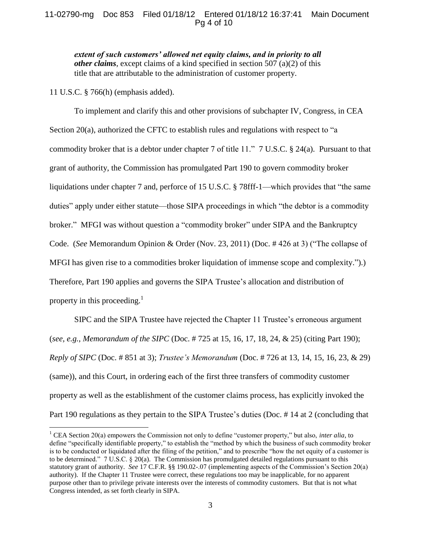# 11-02790-mg Doc 853 Filed 01/18/12 Entered 01/18/12 16:37:41 Main Document Pg 4 of 10

*extent of such customers' allowed net equity claims, and in priority to all other claims*, except claims of a kind specified in section [507](http://www.law.cornell.edu/uscode/html/uscode11/usc_sec_11_00000507----000-.html) (a)(2) of this title that are attributable to the administration of customer property.

11 U.S.C. § 766(h) (emphasis added).

 $\overline{a}$ 

To implement and clarify this and other provisions of subchapter IV, Congress, in CEA Section 20(a), authorized the CFTC to establish rules and regulations with respect to "a commodity broker that is a debtor under chapter 7 of title 11." 7 U.S.C. § 24(a). Pursuant to that grant of authority, the Commission has promulgated Part 190 to govern commodity broker liquidations under chapter 7 and, perforce of 15 U.S.C. § 78fff-1—which provides that "the same duties" apply under either statute—those SIPA proceedings in which "the debtor is a commodity broker." MFGI was without question a "commodity broker" under SIPA and the Bankruptcy Code. (*See* Memorandum Opinion & Order (Nov. 23, 2011) (Doc. # 426 at 3) ("The collapse of MFGI has given rise to a commodities broker liquidation of immense scope and complexity.").) Therefore, Part 190 applies and governs the SIPA Trustee's allocation and distribution of property in this proceeding.<sup>1</sup>

SIPC and the SIPA Trustee have rejected the Chapter 11 Trustee's erroneous argument (*see, e.g.*, *Memorandum of the SIPC* (Doc. # 725 at 15, 16, 17, 18, 24, & 25) (citing Part 190); *Reply of SIPC* (Doc. # 851 at 3); *Trustee's Memorandum* (Doc. # 726 at 13, 14, 15, 16, 23, & 29) (same)), and this Court, in ordering each of the first three transfers of commodity customer property as well as the establishment of the customer claims process, has explicitly invoked the Part 190 regulations as they pertain to the SIPA Trustee's duties (Doc. # 14 at 2 (concluding that

<sup>&</sup>lt;sup>1</sup> CEA Section 20(a) empowers the Commission not only to define "customer property," but also, *inter alia*, to define "specifically identifiable property," to establish the "method by which the business of such commodity broker is to be conducted or liquidated after the filing of the petition," and to prescribe "how the net equity of a customer is to be determined." 7 U.S.C. § 20(a). The Commission has promulgated detailed regulations pursuant to this statutory grant of authority. *See* 17 C.F.R. §§ 190.02-.07 (implementing aspects of the Commission's Section 20(a) authority). If the Chapter 11 Trustee were correct, these regulations too may be inapplicable, for no apparent purpose other than to privilege private interests over the interests of commodity customers. But that is not what Congress intended, as set forth clearly in SIPA.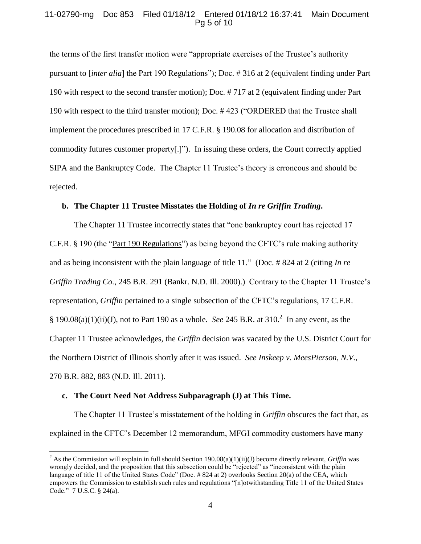# 11-02790-mg Doc 853 Filed 01/18/12 Entered 01/18/12 16:37:41 Main Document Pg 5 of 10

the terms of the first transfer motion were "appropriate exercises of the Trustee's authority pursuant to [*inter alia*] the Part 190 Regulations"); Doc. # 316 at 2 (equivalent finding under Part 190 with respect to the second transfer motion); Doc. # 717 at 2 (equivalent finding under Part 190 with respect to the third transfer motion); Doc. # 423 ("ORDERED that the Trustee shall implement the procedures prescribed in 17 C.F.R. § 190.08 for allocation and distribution of commodity futures customer property[.]"). In issuing these orders, the Court correctly applied SIPA and the Bankruptcy Code. The Chapter 11 Trustee's theory is erroneous and should be rejected.

### **b. The Chapter 11 Trustee Misstates the Holding of** *In re Griffin Trading***.**

The Chapter 11 Trustee incorrectly states that "one bankruptcy court has rejected 17 C.F.R. § 190 (the "Part 190 Regulations") as being beyond the CFTC's rule making authority and as being inconsistent with the plain language of title 11." (Doc. # 824 at 2 (citing *In re Griffin Trading Co.*, 245 B.R. 291 (Bankr. N.D. Ill. 2000).) Contrary to the Chapter 11 Trustee's representation, *Griffin* pertained to a single subsection of the CFTC's regulations, 17 C.F.R. § 190.08(a)(1)(ii)(J), not to Part 190 as a whole. *See* 245 B.R. at 310. 2 In any event, as the Chapter 11 Trustee acknowledges, the *Griffin* decision was vacated by the U.S. District Court for the Northern District of Illinois shortly after it was issued. *See Inskeep v. MeesPierson, N.V.*, 270 B.R. 882, 883 (N.D. Ill. 2011).

### **c. The Court Need Not Address Subparagraph (J) at This Time.**

 $\overline{a}$ 

The Chapter 11 Trustee's misstatement of the holding in *Griffin* obscures the fact that, as explained in the CFTC's December 12 memorandum, MFGI commodity customers have many

<sup>&</sup>lt;sup>2</sup> As the Commission will explain in full should Section 190.08(a)(1)(ii)(J) become directly relevant, *Griffin* was wrongly decided, and the proposition that this subsection could be "rejected" as "inconsistent with the plain language of title 11 of the United States Code" (Doc. # 824 at 2) overlooks Section 20(a) of the CEA, which empowers the Commission to establish such rules and regulations "[n]otwithstanding Title 11 of the United States Code." 7 U.S.C. § 24(a).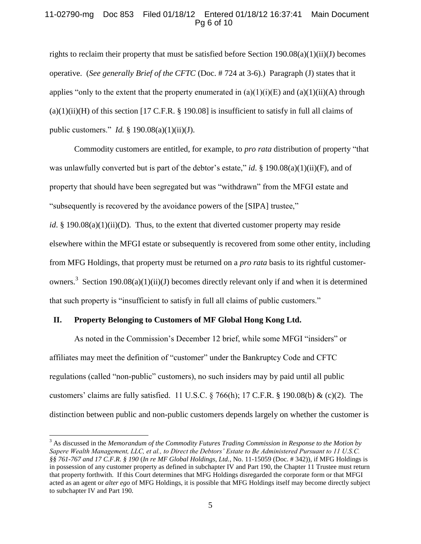# 11-02790-mg Doc 853 Filed 01/18/12 Entered 01/18/12 16:37:41 Main Document Pg 6 of 10

rights to reclaim their property that must be satisfied before Section 190.08(a)(1)(ii)(J) becomes operative. (*See generally Brief of the CFTC* (Doc. # 724 at 3-6).) Paragraph (J) states that it applies "only to the extent that the property enumerated in  $(a)(1)(i)(E)$  and  $(a)(1)(ii)(A)$  through  $(a)(1)(ii)(H)$  of this section [17 C.F.R. § 190.08] is insufficient to satisfy in full all claims of public customers." *Id.* § 190.08(a)(1)(ii)(J).

Commodity customers are entitled, for example, to *pro rata* distribution of property "that was unlawfully converted but is part of the debtor's estate," *id.* § 190.08(a)(1)(ii)(F), and of property that should have been segregated but was "withdrawn" from the MFGI estate and "subsequently is recovered by the avoidance powers of the [SIPA] trustee,"

*id*. § 190.08(a)(1)(ii)(D). Thus, to the extent that diverted customer property may reside elsewhere within the MFGI estate or subsequently is recovered from some other entity, including from MFG Holdings, that property must be returned on a *pro rata* basis to its rightful customerowners.<sup>3</sup> Section 190.08(a)(1)(ii)(J) becomes directly relevant only if and when it is determined that such property is "insufficient to satisfy in full all claims of public customers."

## **II. Property Belonging to Customers of MF Global Hong Kong Ltd.**

 $\overline{a}$ 

As noted in the Commission's December 12 brief, while some MFGI "insiders" or affiliates may meet the definition of "customer" under the Bankruptcy Code and CFTC regulations (called "non-public" customers), no such insiders may by paid until all public customers' claims are fully satisfied. 11 U.S.C. § 766(h); 17 C.F.R. § 190.08(b) & (c)(2). The distinction between public and non-public customers depends largely on whether the customer is

<sup>3</sup> As discussed in the *Memorandum of the Commodity Futures Trading Commission in Response to the Motion by Sapere Wealth Management, LLC, et al., to Direct the Debtors' Estate to Be Administered Pursuant to 11 U.S.C. §§ 761-767 and 17 C.F.R. § 190* (*In re MF Global Holdings, Ltd.*, No. 11-15059 (Doc. # 342)), if MFG Holdings is in possession of any customer property as defined in subchapter IV and Part 190, the Chapter 11 Trustee must return that property forthwith. If this Court determines that MFG Holdings disregarded the corporate form or that MFGI acted as an agent or *alter ego* of MFG Holdings, it is possible that MFG Holdings itself may become directly subject to subchapter IV and Part 190.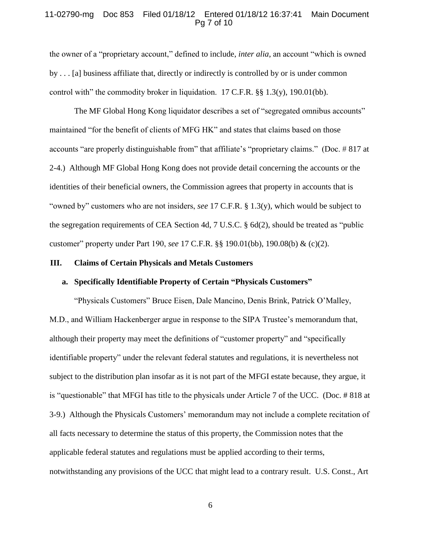## 11-02790-mg Doc 853 Filed 01/18/12 Entered 01/18/12 16:37:41 Main Document Pg 7 of 10

the owner of a "proprietary account," defined to include, *inter alia*, an account "which is owned by . . . [a] business affiliate that, directly or indirectly is controlled by or is under common control with" the commodity broker in liquidation. 17 C.F.R. §§ 1.3(y), 190.01(bb).

The MF Global Hong Kong liquidator describes a set of "segregated omnibus accounts" maintained "for the benefit of clients of MFG HK" and states that claims based on those accounts "are properly distinguishable from" that affiliate's "proprietary claims." (Doc. # 817 at 2-4.) Although MF Global Hong Kong does not provide detail concerning the accounts or the identities of their beneficial owners, the Commission agrees that property in accounts that is "owned by" customers who are not insiders, *see* 17 C.F.R. § 1.3(y), which would be subject to the segregation requirements of CEA Section 4d, 7 U.S.C. § 6d(2), should be treated as "public customer" property under Part 190, *see* 17 C.F.R. §§ 190.01(bb), 190.08(b) & (c)(2).

#### **III. Claims of Certain Physicals and Metals Customers**

#### **a. Specifically Identifiable Property of Certain "Physicals Customers"**

"Physicals Customers" Bruce Eisen, Dale Mancino, Denis Brink, Patrick O'Malley, M.D., and William Hackenberger argue in response to the SIPA Trustee's memorandum that, although their property may meet the definitions of "customer property" and "specifically identifiable property" under the relevant federal statutes and regulations, it is nevertheless not subject to the distribution plan insofar as it is not part of the MFGI estate because, they argue, it is "questionable" that MFGI has title to the physicals under Article 7 of the UCC. (Doc. # 818 at 3-9.) Although the Physicals Customers' memorandum may not include a complete recitation of all facts necessary to determine the status of this property, the Commission notes that the applicable federal statutes and regulations must be applied according to their terms, notwithstanding any provisions of the UCC that might lead to a contrary result. U.S. Const., Art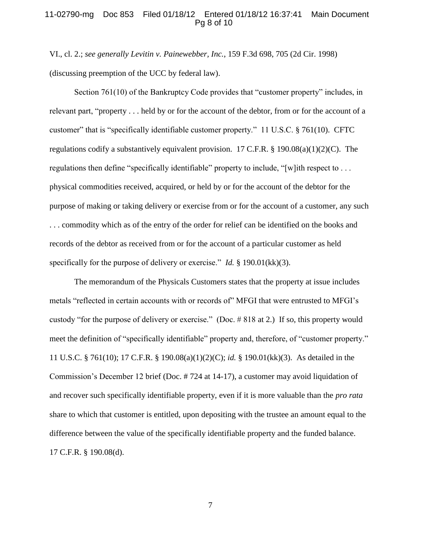## 11-02790-mg Doc 853 Filed 01/18/12 Entered 01/18/12 16:37:41 Main Document Pg 8 of 10

VI., cl. 2.; *see generally Levitin v. Painewebber, Inc.*, 159 F.3d 698, 705 (2d Cir. 1998) (discussing preemption of the UCC by federal law).

Section 761(10) of the Bankruptcy Code provides that "customer property" includes, in relevant part, "property . . . held by or for the account of the debtor, from or for the account of a customer" that is "specifically identifiable customer property." 11 U.S.C. § 761(10). CFTC regulations codify a substantively equivalent provision. 17 C.F.R.  $\S$  190.08(a)(1)(2)(C). The regulations then define "specifically identifiable" property to include, "[w]ith respect to . . . physical commodities received, acquired, or held by or for the account of the debtor for the purpose of making or taking delivery or exercise from or for the account of a customer, any such . . . commodity which as of the entry of the order for relief can be identified on the books and records of the debtor as received from or for the account of a particular customer as held specifically for the purpose of delivery or exercise." *Id.* § 190.01(kk)(3).

The memorandum of the Physicals Customers states that the property at issue includes metals "reflected in certain accounts with or records of" MFGI that were entrusted to MFGI's custody "for the purpose of delivery or exercise." (Doc. # 818 at 2.) If so, this property would meet the definition of "specifically identifiable" property and, therefore, of "customer property." 11 U.S.C. § 761(10); 17 C.F.R. § 190.08(a)(1)(2)(C); *id.* § 190.01(kk)(3). As detailed in the Commission's December 12 brief (Doc. # 724 at 14-17), a customer may avoid liquidation of and recover such specifically identifiable property, even if it is more valuable than the *pro rata* share to which that customer is entitled, upon depositing with the trustee an amount equal to the difference between the value of the specifically identifiable property and the funded balance. 17 C.F.R. § 190.08(d).

7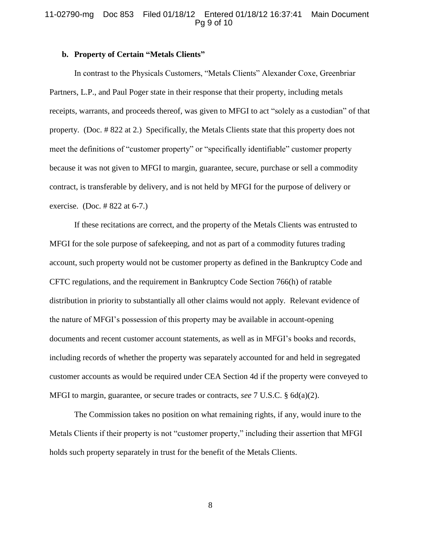## 11-02790-mg Doc 853 Filed 01/18/12 Entered 01/18/12 16:37:41 Main Document Pg 9 of 10

#### **b. Property of Certain "Metals Clients"**

In contrast to the Physicals Customers, "Metals Clients" Alexander Coxe, Greenbriar Partners, L.P., and Paul Poger state in their response that their property, including metals receipts, warrants, and proceeds thereof, was given to MFGI to act "solely as a custodian" of that property. (Doc. # 822 at 2.) Specifically, the Metals Clients state that this property does not meet the definitions of "customer property" or "specifically identifiable" customer property because it was not given to MFGI to margin, guarantee, secure, purchase or sell a commodity contract, is transferable by delivery, and is not held by MFGI for the purpose of delivery or exercise. (Doc. # 822 at 6-7.)

If these recitations are correct, and the property of the Metals Clients was entrusted to MFGI for the sole purpose of safekeeping, and not as part of a commodity futures trading account, such property would not be customer property as defined in the Bankruptcy Code and CFTC regulations, and the requirement in Bankruptcy Code Section 766(h) of ratable distribution in priority to substantially all other claims would not apply. Relevant evidence of the nature of MFGI's possession of this property may be available in account-opening documents and recent customer account statements, as well as in MFGI's books and records, including records of whether the property was separately accounted for and held in segregated customer accounts as would be required under CEA Section 4d if the property were conveyed to MFGI to margin, guarantee, or secure trades or contracts, *see* 7 U.S.C. § 6d(a)(2).

The Commission takes no position on what remaining rights, if any, would inure to the Metals Clients if their property is not "customer property," including their assertion that MFGI holds such property separately in trust for the benefit of the Metals Clients.

8